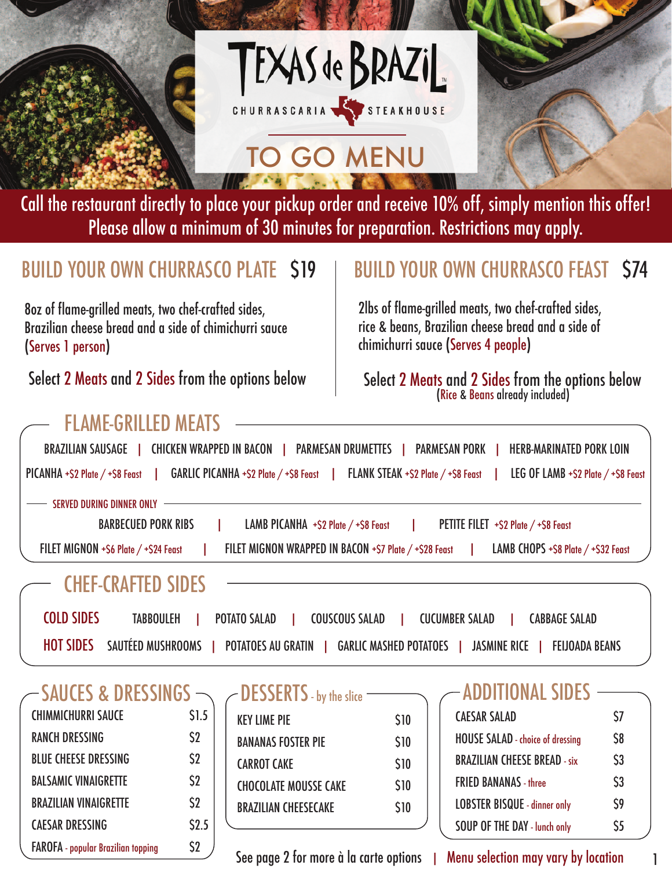

TEXAS de BRAZIL CHURRASCARIA STEAKHOUSE

# TO GO MENU

Call the restaurant directly to place your pickup order and receive 10% off, simply mention this offer! Please allow a minimum of 30 minutes for preparation. Restrictions may apply.

8oz of flame-grilled meats, two chef-crafted sides, Brazilian cheese bread and a side of chimichurri sauce (Serves 1 person)

FLAME-GRILLED MEATS

### BUILD YOUR OWN CHURRASCO PLATE S19 | BUILD YOUR OWN CHURRASCO FEAST S74

2lbs of flame-grilled meats, two chef-crafted sides, rice & beans, Brazilian cheese bread and a side of chimichurri sauce (Serves 4 people)

Select 2 Meats and 2 Sides from the options below  $\qquad \qquad | \qquad$  Select 2 Meats and 2 Sides from the options below (Rice & Beans already included)

| <b>BRAZILIAN SAUSAGE</b><br><b>CHICKEN WRAPPED IN BACON  </b><br><b>PARMESAN PORK  </b><br><b>HERB-MARINATED PORK LOIN</b><br><b>PARMESAN DRUMETTES</b>                         |
|---------------------------------------------------------------------------------------------------------------------------------------------------------------------------------|
| $GARLIC$ PICANHA +\$2 Plate $/$ +\$8 Feast<br>LEG OF LAMB $+$ \$2 Plate $/$ +\$8 Feast<br>$PICANHA + $2$ Plate $/$ + $$8$ Feast<br><b>FLANK STEAK +\$2 Plate / +\$8 Feast  </b> |
| <b>SERVED DURING DINNER ONLY</b>                                                                                                                                                |
| <b>BARBECUED PORK RIBS</b><br>LAMB PICANHA $+$ \$2 Plate $/$ +\$8 Feast<br>PETITE FILET +\$2 Plate / +\$8 Feast                                                                 |
| FILET MIGNON WRAPPED IN BACON +\$7 Plate / +\$28 Feast<br>LAMB CHOPS +S8 Plate / +S32 Feast<br>FILET MIGNON +S6 Plate / +S24 Feast                                              |
| <b>CHEF-CRAFTED SIDES</b>                                                                                                                                                       |
| <b>COLD SIDES</b><br><b>TABBOULEH</b><br><b>POTATO SALAD</b><br><b>COUSCOUS SALAD</b><br><b>CUCUMBER SALAD</b><br><b>CABBAGE SALAD</b>                                          |
| <b>HOT SIDES</b><br>SAUTÉED MUSHROOMS<br><b>POTATOES AU GRATIN</b><br><b>GARLIC MASHED POTATOES</b><br><b>JASMINE RICE</b><br><b>FEIJOADA BEANS</b>                             |
|                                                                                                                                                                                 |

| $-$ SAUCES & DRESSINGS $\small{\frown}$   |                |
|-------------------------------------------|----------------|
| <b>CHIMMICHURRI SAUCE</b>                 | \$1.5          |
| <b>RANCH DRESSING</b>                     | $\mathsf{S2}$  |
| <b>BLUE CHEESE DRESSING</b>               | S <sub>2</sub> |
| <b>BALSAMIC VINAIGRETTE</b>               | $\mathsf{S2}$  |
| <b>BRAZILIAN VINAIGRETTE</b>              | \$2            |
| <b>CAESAR DRESSING</b>                    | \$2.5          |
| <b>FAROFA</b> - popular Brazilian topping | \$2            |

| $\angle$ DESSERTS - by the slice |             |
|----------------------------------|-------------|
| <b>KEY LIME PIE</b>              | \$10        |
| <b>BANANAS FOSTER PIE</b>        | \$10        |
| <b>CARROT CAKE</b>               | \$10        |
| <b>CHOCOLATE MOUSSE CAKE</b>     | <b>\$10</b> |
| <b>BRAZILIAN CHEESECAKE</b>      | \$10        |
|                                  |             |

See page 2 for more à la carte options | Menu selection may vary by location

#### ADDITIONAL SIDE

| Ś7             |
|----------------|
| <b>\$8</b>     |
| S <sub>3</sub> |
| S <sub>3</sub> |
| \$9            |
| \$5            |
|                |

1